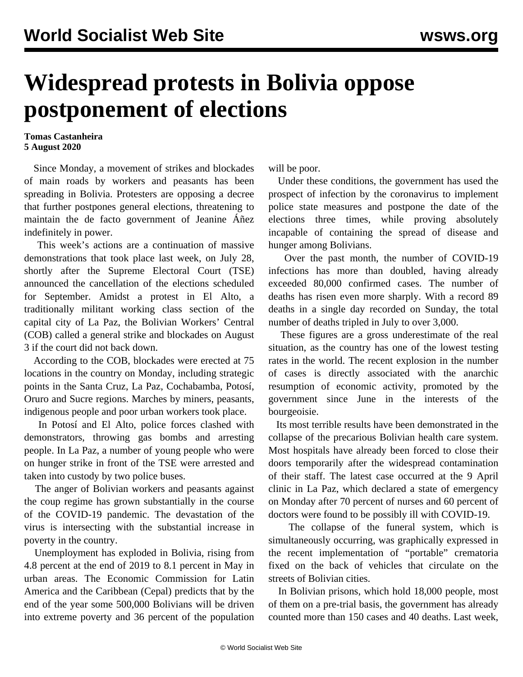## **Widespread protests in Bolivia oppose postponement of elections**

## **Tomas Castanheira 5 August 2020**

 Since Monday, a movement of strikes and blockades of main roads by workers and peasants has been spreading in Bolivia. Protesters are opposing a decree that further postpones general elections, threatening to maintain the de facto government of Jeanine Áñez indefinitely in power.

 This week's actions are a continuation of massive demonstrations that took place last week, on July 28, shortly after the Supreme Electoral Court (TSE) announced the cancellation of the elections scheduled for September. Amidst a protest in El Alto, a traditionally militant working class section of the capital city of La Paz, the Bolivian Workers' Central (COB) called a general strike and blockades on August 3 if the court did not back down.

 According to the COB, blockades were erected at 75 locations in the country on Monday, including strategic points in the Santa Cruz, La Paz, Cochabamba, Potosí, Oruro and Sucre regions. Marches by miners, peasants, indigenous people and poor urban workers took place.

 In Potosí and El Alto, police forces clashed with demonstrators, throwing gas bombs and arresting people. In La Paz, a number of young people who were on hunger strike in front of the TSE were arrested and taken into custody by two police buses.

 The anger of Bolivian workers and peasants against the coup regime has grown substantially in the course of the COVID-19 pandemic. The devastation of the virus is intersecting with the substantial increase in poverty in the country.

 Unemployment has exploded in Bolivia, rising from 4.8 percent at the end of 2019 to 8.1 percent in May in urban areas. The Economic Commission for Latin America and the Caribbean (Cepal) predicts that by the end of the year some 500,000 Bolivians will be driven into extreme poverty and 36 percent of the population

will be poor.

 Under these conditions, the government has used the prospect of infection by the coronavirus to implement police state measures and postpone the date of the elections three times, while proving absolutely incapable of containing the spread of disease and hunger among Bolivians.

 Over the past month, the number of COVID-19 infections has more than doubled, having already exceeded 80,000 confirmed cases. The number of deaths has risen even more sharply. With a record 89 deaths in a single day recorded on Sunday, the total number of deaths tripled in July to over 3,000.

 These figures are a gross underestimate of the real situation, as the country has one of the lowest testing rates in the world. The recent explosion in the number of cases is directly associated with the anarchic resumption of economic activity, promoted by the government since June in the interests of the bourgeoisie.

 Its most terrible results have been demonstrated in the collapse of the precarious Bolivian health care system. Most hospitals have already been forced to close their doors temporarily after the widespread contamination of their staff. The latest case occurred at the 9 April clinic in La Paz, which declared a state of emergency on Monday after 70 percent of nurses and 60 percent of doctors were found to be possibly ill with COVID-19.

 The collapse of the funeral system, which is simultaneously occurring, was graphically expressed in the recent implementation of "portable" crematoria fixed on the back of vehicles that circulate on the streets of Bolivian cities.

 In Bolivian prisons, which hold 18,000 people, most of them on a pre-trial basis, the government has already counted more than 150 cases and 40 deaths. Last week,